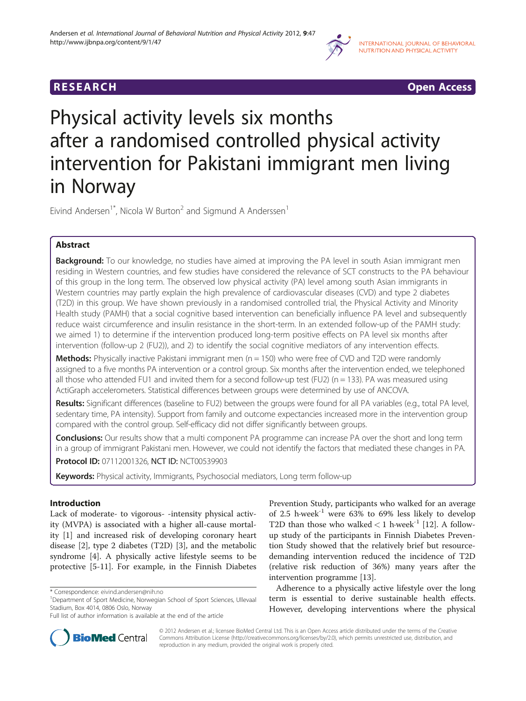

# **RESEARCH CHEART CONTROL**

# Physical activity levels six months after a randomised controlled physical activity intervention for Pakistani immigrant men living in Norway

Eivind Andersen<sup>1\*</sup>, Nicola W Burton<sup>2</sup> and Sigmund A Anderssen<sup>1</sup>

# Abstract

**Background:** To our knowledge, no studies have aimed at improving the PA level in south Asian immigrant men residing in Western countries, and few studies have considered the relevance of SCT constructs to the PA behaviour of this group in the long term. The observed low physical activity (PA) level among south Asian immigrants in Western countries may partly explain the high prevalence of cardiovascular diseases (CVD) and type 2 diabetes (T2D) in this group. We have shown previously in a randomised controlled trial, the Physical Activity and Minority Health study (PAMH) that a social cognitive based intervention can beneficially influence PA level and subsequently reduce waist circumference and insulin resistance in the short-term. In an extended follow-up of the PAMH study: we aimed 1) to determine if the intervention produced long-term positive effects on PA level six months after intervention (follow-up 2 (FU2)), and 2) to identify the social cognitive mediators of any intervention effects.

**Methods:** Physically inactive Pakistani immigrant men  $(n = 150)$  who were free of CVD and T2D were randomly assigned to a five months PA intervention or a control group. Six months after the intervention ended, we telephoned all those who attended FU1 and invited them for a second follow-up test (FU2) (n = 133). PA was measured using ActiGraph accelerometers. Statistical differences between groups were determined by use of ANCOVA.

Results: Significant differences (baseline to FU2) between the groups were found for all PA variables (e.g., total PA level, sedentary time, PA intensity). Support from family and outcome expectancies increased more in the intervention group compared with the control group. Self-efficacy did not differ significantly between groups.

Conclusions: Our results show that a multi component PA programme can increase PA over the short and long term in a group of immigrant Pakistani men. However, we could not identify the factors that mediated these changes in PA.

Protocol ID: 07112001326, NCT ID: NCT00539903

Keywords: Physical activity, Immigrants, Psychosocial mediators, Long term follow-up

# Introduction

Lack of moderate- to vigorous- -intensity physical activity (MVPA) is associated with a higher all-cause mortality [\[1](#page-8-0)] and increased risk of developing coronary heart disease [[2\]](#page-8-0), type 2 diabetes (T2D) [\[3](#page-8-0)], and the metabolic syndrome [[4](#page-8-0)]. A physically active lifestyle seems to be protective [[5-11](#page-8-0)]. For example, in the Finnish Diabetes

Prevention Study, participants who walked for an average of 2.5 h∙week-1 were 63% to 69% less likely to develop T2D than those who walked < 1 h⋅week<sup>-1</sup> [[12](#page-8-0)]. A followup study of the participants in Finnish Diabetes Prevention Study showed that the relatively brief but resourcedemanding intervention reduced the incidence of T2D (relative risk reduction of 36%) many years after the intervention programme [[13\]](#page-8-0).

Adherence to a physically active lifestyle over the long term is essential to derive sustainable health effects. However, developing interventions where the physical



© 2012 Andersen et al.; licensee BioMed Central Ltd. This is an Open Access article distributed under the terms of the Creative Commons Attribution License (http://creativecommons.org/licenses/by/2.0), which permits unrestricted use, distribution, and reproduction in any medium, provided the original work is properly cited.

<sup>\*</sup> Correspondence: [eivind.andersen@nih.no](mailto:eivind.andersen@nih.no) <sup>1</sup>

<sup>&</sup>lt;sup>1</sup>Department of Sport Medicine, Norwegian School of Sport Sciences, Ullevaal Stadium, Box 4014, 0806 Oslo, Norway

Full list of author information is available at the end of the article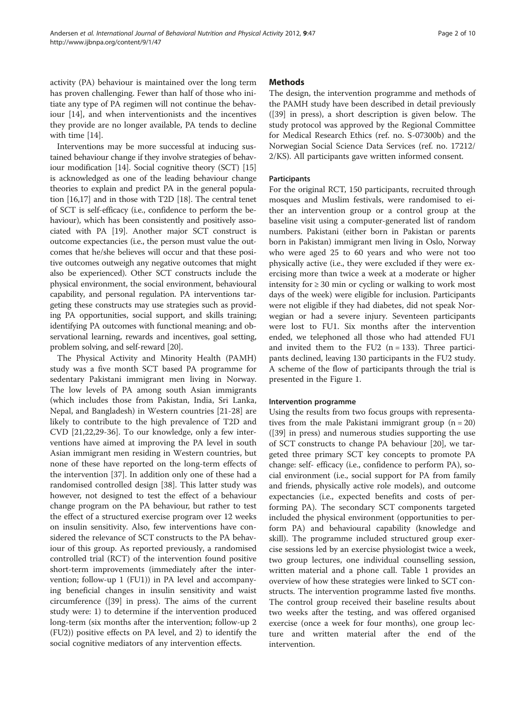activity (PA) behaviour is maintained over the long term has proven challenging. Fewer than half of those who initiate any type of PA regimen will not continue the behaviour [[14\]](#page-8-0), and when interventionists and the incentives they provide are no longer available, PA tends to decline with time [[14](#page-8-0)].

Interventions may be more successful at inducing sustained behaviour change if they involve strategies of behaviour modification [\[14\]](#page-8-0). Social cognitive theory (SCT) [[15](#page-8-0)] is acknowledged as one of the leading behaviour change theories to explain and predict PA in the general population [[16,17\]](#page-8-0) and in those with T2D [\[18\]](#page-8-0). The central tenet of SCT is self-efficacy (i.e., confidence to perform the behaviour), which has been consistently and positively associated with PA [[19](#page-8-0)]. Another major SCT construct is outcome expectancies (i.e., the person must value the outcomes that he/she believes will occur and that these positive outcomes outweigh any negative outcomes that might also be experienced). Other SCT constructs include the physical environment, the social environment, behavioural capability, and personal regulation. PA interventions targeting these constructs may use strategies such as providing PA opportunities, social support, and skills training; identifying PA outcomes with functional meaning; and observational learning, rewards and incentives, goal setting, problem solving, and self-reward [\[20\]](#page-8-0).

The Physical Activity and Minority Health (PAMH) study was a five month SCT based PA programme for sedentary Pakistani immigrant men living in Norway. The low levels of PA among south Asian immigrants (which includes those from Pakistan, India, Sri Lanka, Nepal, and Bangladesh) in Western countries [[21-28\]](#page-8-0) are likely to contribute to the high prevalence of T2D and CVD [\[21,22,29-](#page-8-0)[36](#page-9-0)]. To our knowledge, only a few interventions have aimed at improving the PA level in south Asian immigrant men residing in Western countries, but none of these have reported on the long-term effects of the intervention [[37](#page-9-0)]. In addition only one of these had a randomised controlled design [\[38](#page-9-0)]. This latter study was however, not designed to test the effect of a behaviour change program on the PA behaviour, but rather to test the effect of a structured exercise program over 12 weeks on insulin sensitivity. Also, few interventions have considered the relevance of SCT constructs to the PA behaviour of this group. As reported previously, a randomised controlled trial (RCT) of the intervention found positive short-term improvements (immediately after the intervention; follow-up 1 (FU1)) in PA level and accompanying beneficial changes in insulin sensitivity and waist circumference ([\[39](#page-9-0)] in press). The aims of the current study were: 1) to determine if the intervention produced long-term (six months after the intervention; follow-up 2 (FU2)) positive effects on PA level, and 2) to identify the social cognitive mediators of any intervention effects.

# Methods

The design, the intervention programme and methods of the PAMH study have been described in detail previously ([\[39\]](#page-9-0) in press), a short description is given below. The study protocol was approved by the Regional Committee for Medical Research Ethics (ref. no. S-07300b) and the Norwegian Social Science Data Services (ref. no. 17212/ 2/KS). All participants gave written informed consent.

# Participants

For the original RCT, 150 participants, recruited through mosques and Muslim festivals, were randomised to either an intervention group or a control group at the baseline visit using a computer-generated list of random numbers. Pakistani (either born in Pakistan or parents born in Pakistan) immigrant men living in Oslo, Norway who were aged 25 to 60 years and who were not too physically active (i.e., they were excluded if they were exercising more than twice a week at a moderate or higher intensity for  $\geq$  30 min or cycling or walking to work most days of the week) were eligible for inclusion. Participants were not eligible if they had diabetes, did not speak Norwegian or had a severe injury. Seventeen participants were lost to FU1. Six months after the intervention ended, we telephoned all those who had attended FU1 and invited them to the FU2  $(n = 133)$ . Three participants declined, leaving 130 participants in the FU2 study. A scheme of the flow of participants through the trial is presented in the Figure [1](#page-2-0).

# Intervention programme

Using the results from two focus groups with representatives from the male Pakistani immigrant group  $(n = 20)$ ([\[39\]](#page-9-0) in press) and numerous studies supporting the use of SCT constructs to change PA behaviour [\[20](#page-8-0)], we targeted three primary SCT key concepts to promote PA change: self- efficacy (i.e., confidence to perform PA), social environment (i.e., social support for PA from family and friends, physically active role models), and outcome expectancies (i.e., expected benefits and costs of performing PA). The secondary SCT components targeted included the physical environment (opportunities to perform PA) and behavioural capability (knowledge and skill). The programme included structured group exercise sessions led by an exercise physiologist twice a week, two group lectures, one individual counselling session, written material and a phone call. Table [1](#page-3-0) provides an overview of how these strategies were linked to SCT constructs. The intervention programme lasted five months. The control group received their baseline results about two weeks after the testing, and was offered organised exercise (once a week for four months), one group lecture and written material after the end of the intervention.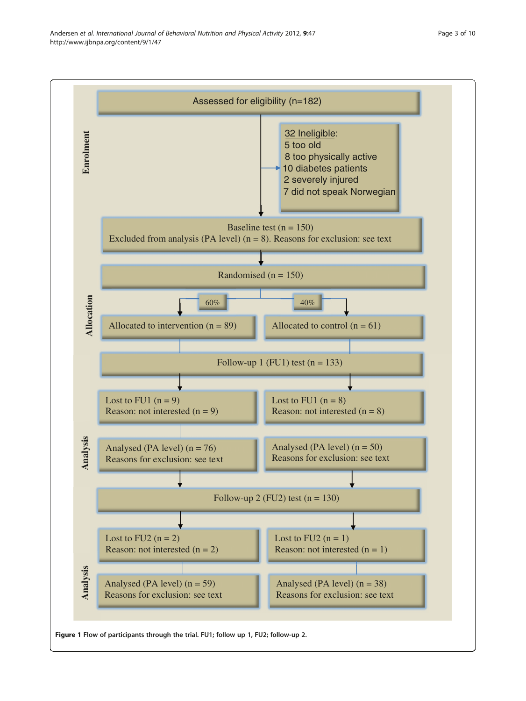<span id="page-2-0"></span>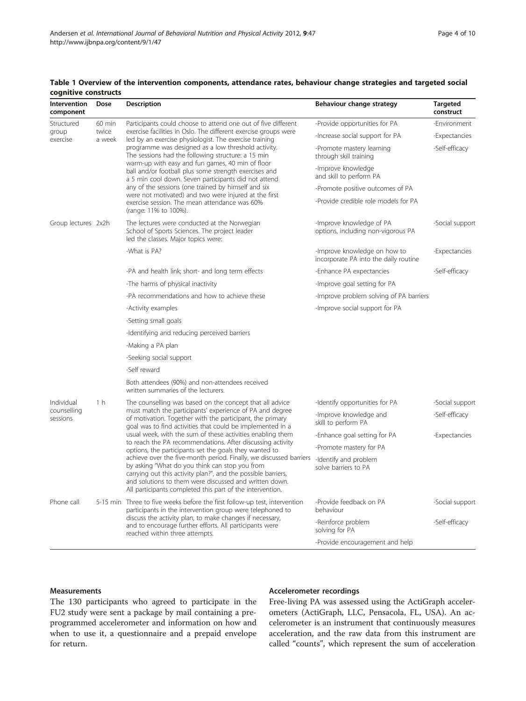# <span id="page-3-0"></span>Table 1 Overview of the intervention components, attendance rates, behaviour change strategies and targeted social cognitive constructs

| Intervention<br>component | Dose            | <b>Description</b>                                                                                                                                                                                                                                                                                           | Behaviour change strategy                                             | <b>Targeted</b><br>construct |
|---------------------------|-----------------|--------------------------------------------------------------------------------------------------------------------------------------------------------------------------------------------------------------------------------------------------------------------------------------------------------------|-----------------------------------------------------------------------|------------------------------|
| Structured                | 60 min          | Participants could choose to attend one out of five different                                                                                                                                                                                                                                                | -Provide opportunities for PA                                         | -Environment                 |
| group<br>exercise         | twice<br>a week | exercise facilities in Oslo. The different exercise groups were<br>led by an exercise physiologist. The exercise training                                                                                                                                                                                    | -Increase social support for PA                                       | -Expectancies                |
|                           |                 | programme was designed as a low threshold activity.<br>The sessions had the following structure: a 15 min                                                                                                                                                                                                    | -Promote mastery learning<br>through skill training                   | -Self-efficacy               |
|                           |                 | warm-up with easy and fun games, 40 min of floor<br>ball and/or football plus some strength exercises and<br>a 5 min cool down. Seven participants did not attend                                                                                                                                            | -Improve knowledge<br>and skill to perform PA                         |                              |
|                           |                 | any of the sessions (one trained by himself and six                                                                                                                                                                                                                                                          | -Promote positive outcomes of PA                                      |                              |
|                           |                 | were not motivated) and two were injured at the first<br>exercise session. The mean attendance was 60%<br>(range: 11% to 100%).                                                                                                                                                                              | -Provide credible role models for PA                                  |                              |
| Group lectures 2x2h       |                 | The lectures were conducted at the Norwegian<br>School of Sports Sciences. The project leader<br>led the classes. Major topics were:                                                                                                                                                                         | -Improve knowledge of PA<br>options, including non-vigorous PA        | -Social support              |
|                           |                 | -What is PA?                                                                                                                                                                                                                                                                                                 | -Improve knowledge on how to<br>incorporate PA into the daily routine | -Expectancies                |
|                           |                 | -PA and health link; short- and long term effects                                                                                                                                                                                                                                                            | -Enhance PA expectancies                                              | -Self-efficacy               |
|                           |                 | -The harms of physical inactivity                                                                                                                                                                                                                                                                            | -Improve goal setting for PA                                          |                              |
|                           |                 | -PA recommendations and how to achieve these                                                                                                                                                                                                                                                                 | -Improve problem solving of PA barriers                               |                              |
|                           |                 | -Activity examples                                                                                                                                                                                                                                                                                           | -Improve social support for PA                                        |                              |
|                           |                 | -Setting small goals                                                                                                                                                                                                                                                                                         |                                                                       |                              |
|                           |                 | -Identifying and reducing perceived barriers                                                                                                                                                                                                                                                                 |                                                                       |                              |
|                           |                 | -Making a PA plan                                                                                                                                                                                                                                                                                            |                                                                       |                              |
|                           |                 | -Seeking social support                                                                                                                                                                                                                                                                                      |                                                                       |                              |
|                           |                 | -Self reward                                                                                                                                                                                                                                                                                                 |                                                                       |                              |
|                           |                 | Both attendees (90%) and non-attendees received<br>written summaries of the lecturers.                                                                                                                                                                                                                       |                                                                       |                              |
| Individual                | 1 <sub>h</sub>  | The counselling was based on the concept that all advice                                                                                                                                                                                                                                                     | -Identify opportunities for PA                                        | -Social support              |
| counselling<br>sessions   |                 | must match the participants' experience of PA and degree<br>of motivation. Together with the participant, the primary<br>goal was to find activities that could be implemented in a                                                                                                                          | -Improve knowledge and<br>skill to perform PA                         | -Self-efficacy               |
|                           |                 | usual week, with the sum of these activities enabling them                                                                                                                                                                                                                                                   | -Enhance goal setting for PA                                          | -Expectancies                |
|                           |                 | to reach the PA recommendations. After discussing activity<br>options, the participants set the goals they wanted to                                                                                                                                                                                         | -Promote mastery for PA                                               |                              |
|                           |                 | achieve over the five-month period. Finally, we discussed barriers<br>by asking "What do you think can stop you from<br>carrying out this activity plan?", and the possible barriers,<br>and solutions to them were discussed and written down.<br>All participants completed this part of the intervention. | -Identify and problem<br>solve barriers to PA                         |                              |
| Phone call                |                 | 5-15 min Three to five weeks before the first follow-up test, intervention<br>participants in the intervention group were telephoned to                                                                                                                                                                      | -Provide feedback on PA<br>behaviour                                  | -Social support              |
|                           |                 | discuss the activity plan, to make changes if necessary,<br>and to encourage further efforts. All participants were<br>reached within three attempts.                                                                                                                                                        | -Reinforce problem<br>solving for PA                                  | -Self-efficacy               |
|                           |                 |                                                                                                                                                                                                                                                                                                              | -Provide encouragement and help                                       |                              |

# Measurements

# Accelerometer recordings

The 130 participants who agreed to participate in the FU2 study were sent a package by mail containing a preprogrammed accelerometer and information on how and when to use it, a questionnaire and a prepaid envelope for return.

Free-living PA was assessed using the ActiGraph accelerometers (ActiGraph, LLC, Pensacola, FL, USA). An accelerometer is an instrument that continuously measures acceleration, and the raw data from this instrument are called "counts", which represent the sum of acceleration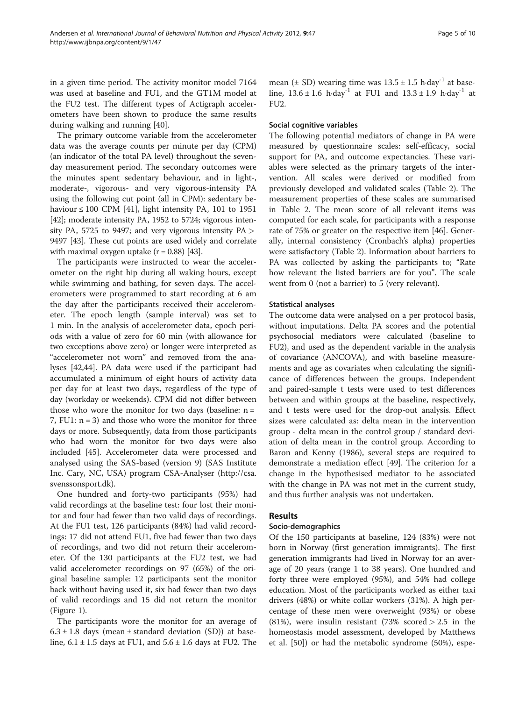in a given time period. The activity monitor model 7164 was used at baseline and FU1, and the GT1M model at the FU2 test. The different types of Actigraph accelerometers have been shown to produce the same results during walking and running [[40\]](#page-9-0).

The primary outcome variable from the accelerometer data was the average counts per minute per day (CPM) (an indicator of the total PA level) throughout the sevenday measurement period. The secondary outcomes were the minutes spent sedentary behaviour, and in light-, moderate-, vigorous- and very vigorous-intensity PA using the following cut point (all in CPM): sedentary behaviour  $\leq 100$  CPM [\[41\]](#page-9-0), light intensity PA, 101 to 1951 [[42](#page-9-0)]; moderate intensity PA, 1952 to 5724; vigorous intensity PA, 5725 to 9497; and very vigorous intensity  $PA$ 9497 [\[43\]](#page-9-0). These cut points are used widely and correlate with maximal oxygen uptake  $(r = 0.88)$  [[43](#page-9-0)].

The participants were instructed to wear the accelerometer on the right hip during all waking hours, except while swimming and bathing, for seven days. The accelerometers were programmed to start recording at 6 am the day after the participants received their accelerometer. The epoch length (sample interval) was set to 1 min. In the analysis of accelerometer data, epoch periods with a value of zero for 60 min (with allowance for two exceptions above zero) or longer were interpreted as "accelerometer not worn" and removed from the analyses [\[42,44\]](#page-9-0). PA data were used if the participant had accumulated a minimum of eight hours of activity data per day for at least two days, regardless of the type of day (workday or weekends). CPM did not differ between those who wore the monitor for two days (baseline:  $n =$ 7, FU1:  $n = 3$ ) and those who wore the monitor for three days or more. Subsequently, data from those participants who had worn the monitor for two days were also included [[45\]](#page-9-0). Accelerometer data were processed and analysed using the SAS-based (version 9) (SAS Institute Inc. Cary, NC, USA) program CSA-Analyser ([http://csa.](http://csa.svenssonsport.dk) [svenssonsport.dk\)](http://csa.svenssonsport.dk).

One hundred and forty-two participants (95%) had valid recordings at the baseline test: four lost their monitor and four had fewer than two valid days of recordings. At the FU1 test, 126 participants (84%) had valid recordings: 17 did not attend FU1, five had fewer than two days of recordings, and two did not return their accelerometer. Of the 130 participants at the FU2 test, we had valid accelerometer recordings on 97 (65%) of the original baseline sample: 12 participants sent the monitor back without having used it, six had fewer than two days of valid recordings and 15 did not return the monitor (Figure [1](#page-2-0)).

The participants wore the monitor for an average of  $6.3 \pm 1.8$  days (mean  $\pm$  standard deviation (SD)) at baseline,  $6.1 \pm 1.5$  days at FU1, and  $5.6 \pm 1.6$  days at FU2. The

mean (± SD) wearing time was  $13.5 \pm 1.5$  h⋅day<sup>-1</sup> at baseline, 13.6 ± 1.6 h∙day-1 at FU1 and 13.3 ± 1.9 h∙day-1 at FU2.

# Social cognitive variables

The following potential mediators of change in PA were measured by questionnaire scales: self-efficacy, social support for PA, and outcome expectancies. These variables were selected as the primary targets of the intervention. All scales were derived or modified from previously developed and validated scales (Table [2\)](#page-5-0). The measurement properties of these scales are summarised in Table [2.](#page-5-0) The mean score of all relevant items was computed for each scale, for participants with a response rate of 75% or greater on the respective item [\[46](#page-9-0)]. Generally, internal consistency (Cronbach's alpha) properties were satisfactory (Table [2](#page-5-0)). Information about barriers to PA was collected by asking the participants to; "Rate how relevant the listed barriers are for you". The scale went from 0 (not a barrier) to 5 (very relevant).

# Statistical analyses

The outcome data were analysed on a per protocol basis, without imputations. Delta PA scores and the potential psychosocial mediators were calculated (baseline to FU2), and used as the dependent variable in the analysis of covariance (ANCOVA), and with baseline measurements and age as covariates when calculating the significance of differences between the groups. Independent and paired-sample t tests were used to test differences between and within groups at the baseline, respectively, and t tests were used for the drop-out analysis. Effect sizes were calculated as: delta mean in the intervention group - delta mean in the control group / standard deviation of delta mean in the control group. According to Baron and Kenny (1986), several steps are required to demonstrate a mediation effect [\[49\]](#page-9-0). The criterion for a change in the hypothesised mediator to be associated with the change in PA was not met in the current study, and thus further analysis was not undertaken.

# Results

# Socio-demographics

Of the 150 participants at baseline, 124 (83%) were not born in Norway (first generation immigrants). The first generation immigrants had lived in Norway for an average of 20 years (range 1 to 38 years). One hundred and forty three were employed (95%), and 54% had college education. Most of the participants worked as either taxi drivers (48%) or white collar workers (31%). A high percentage of these men were overweight (93%) or obese (81%), were insulin resistant (73% scored  $> 2.5$  in the homeostasis model assessment, developed by Matthews et al. [\[50](#page-9-0)]) or had the metabolic syndrome (50%), espe-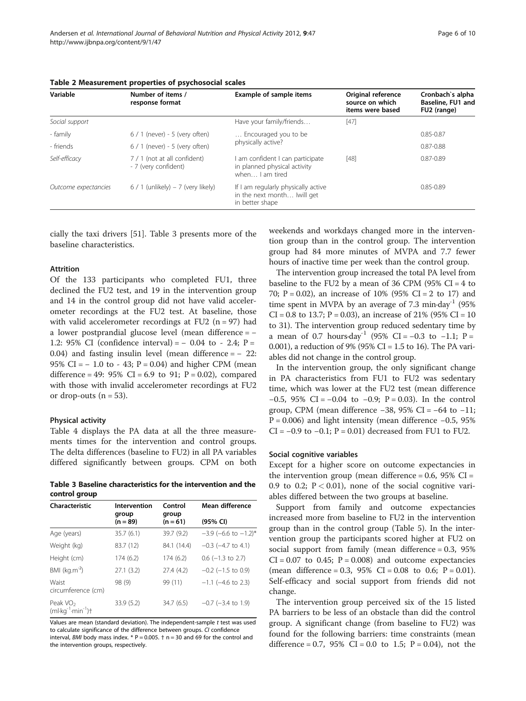| Variable             | Number of items /<br>response format                 | <b>Example of sample items</b>                                                        | Original reference<br>source on which<br>items were based | Cronbach's alpha<br>Baseline, FU1 and<br>FU2 (range) |
|----------------------|------------------------------------------------------|---------------------------------------------------------------------------------------|-----------------------------------------------------------|------------------------------------------------------|
| Social support       |                                                      | Have your family/friends                                                              | $[47]$                                                    |                                                      |
| - family             | $6/1$ (never) - 5 (very often)                       | Encouraged you to be                                                                  |                                                           | $0.85 - 0.87$                                        |
| - friends            | $6/1$ (never) - 5 (very often)                       | physically active?                                                                    |                                                           | $0.87 - 0.88$                                        |
| Self-efficacy        | 7 / 1 (not at all confident)<br>- 7 (very confident) | am confident I can participate<br>in planned physical activity<br>when I am tired     | $[48]$                                                    | 0.87-0.89                                            |
| Outcome expectancies | $6/1$ (unlikely) – 7 (very likely)                   | If I am regularly physically active<br>in the next month Iwill get<br>in better shape |                                                           | $0.85 - 0.89$                                        |

<span id="page-5-0"></span>Table 2 Measurement properties of psychosocial scales

cially the taxi drivers [[51](#page-9-0)]. Table 3 presents more of the baseline characteristics.

## Attrition

Of the 133 participants who completed FU1, three declined the FU2 test, and 19 in the intervention group and 14 in the control group did not have valid accelerometer recordings at the FU2 test. At baseline, those with valid accelerometer recordings at FU2 ( $n = 97$ ) had a lower postprandial glucose level (mean difference = − 1.2: 95% CI (confidence interval) =  $-$  0.04 to  $-$  2.4; P = 0.04) and fasting insulin level (mean difference = − 22: 95% CI =  $-1.0$  to  $-43$ ; P = 0.04) and higher CPM (mean difference = 49:  $95\%$  CI = 6.9 to 91; P = 0.02), compared with those with invalid accelerometer recordings at FU2 or drop-outs ( $n = 53$ ).

#### Physical activity

Table [4](#page-6-0) displays the PA data at all the three measurements times for the intervention and control groups. The delta differences (baseline to FU2) in all PA variables differed significantly between groups. CPM on both

Table 3 Baseline characteristics for the intervention and the control group

| Characteristic                                 | <b>Intervention</b><br>group | Control<br>group | Mean difference           |  |  |
|------------------------------------------------|------------------------------|------------------|---------------------------|--|--|
|                                                | $(n = 89)$                   | $(n = 61)$       | (95% CI)                  |  |  |
| Age (years)                                    | 35.7(6.1)                    | 39.7 (9.2)       | $-3.9$ (-6.6 to $-1.2$ )* |  |  |
| Weight (kg)                                    | 83.7 (12)                    | 84.1 (14.4)      | $-0.3$ ( $-4.7$ to 4.1)   |  |  |
| Height (cm)                                    | 174 (6.2)                    | 174(6.2)         | $0.6$ (-1.3 to 2.7)       |  |  |
| BMI $(kq.m^{-2})$                              | 27.1(3.2)                    | 27.4 (4.2)       | $-0.2$ ( $-1.5$ to 0.9)   |  |  |
| Waist<br>circumference (cm)                    | 98 (9)                       | 99 (11)          | $-1.1$ (-4.6 to 2.3)      |  |  |
| Peak VO <sub>2</sub><br>$(m!kg^{-1}·min^{-1})$ | 33.9 (5.2)                   | 34.7(6.5)        | $-0.7$ ( $-3.4$ to 1.9)   |  |  |

Values are mean (standard deviation). The independent-sample t test was used to calculate significance of the difference between groups. CI confidence interval, BMI body mass index.  $*$  P = 0.005.  $\dagger$  n = 30 and 69 for the control and the intervention groups, respectively.

weekends and workdays changed more in the intervention group than in the control group. The intervention group had 84 more minutes of MVPA and 7.7 fewer hours of inactive time per week than the control group.

The intervention group increased the total PA level from baseline to the FU2 by a mean of 36 CPM (95%  $CI = 4$  to 70; P = 0.02), an increase of 10% (95% CI = 2 to 17) and time spent in MVPA by an average of 7.3 min⋅day<sup>-1</sup> (95%)  $CI = 0.8$  to 13.7; P = 0.03), an increase of 21% (95%  $CI = 10$ to 31). The intervention group reduced sedentary time by a mean of 0.7 hours⋅day<sup>-1</sup> (95% CI = −0.3 to −1.1; P = 0.001), a reduction of 9% (95% CI = 1.5 to 16). The PA variables did not change in the control group.

In the intervention group, the only significant change in PA characteristics from FU1 to FU2 was sedentary time, which was lower at the FU2 test (mean difference −0.5, 95% CI = −0.04 to −0.9; P = 0.03). In the control group, CPM (mean difference  $-38$ , 95% CI =  $-64$  to  $-11$ ; P = 0.006) and light intensity (mean difference −0.5, 95% CI =  $-0.9$  to  $-0.1$ ; P = 0.01) decreased from FU1 to FU2.

### Social cognitive variables

Except for a higher score on outcome expectancies in the intervention group (mean difference =  $0.6$ ,  $95\%$  CI = 0.9 to 0.2;  $P < 0.01$ ), none of the social cognitive variables differed between the two groups at baseline.

Support from family and outcome expectancies increased more from baseline to FU2 in the intervention group than in the control group (Table [5\)](#page-6-0). In the intervention group the participants scored higher at FU2 on social support from family (mean difference  $= 0.3, 95\%$  $CI = 0.07$  to 0.45;  $P = 0.008$ ) and outcome expectancies (mean difference = 0.3, 95% CI = 0.08 to 0.6;  $P = 0.01$ ). Self-efficacy and social support from friends did not change.

The intervention group perceived six of the 15 listed PA barriers to be less of an obstacle than did the control group. A significant change (from baseline to FU2) was found for the following barriers: time constraints (mean difference = 0.7, 95% CI = 0.0 to 1.5; P = 0.04), not the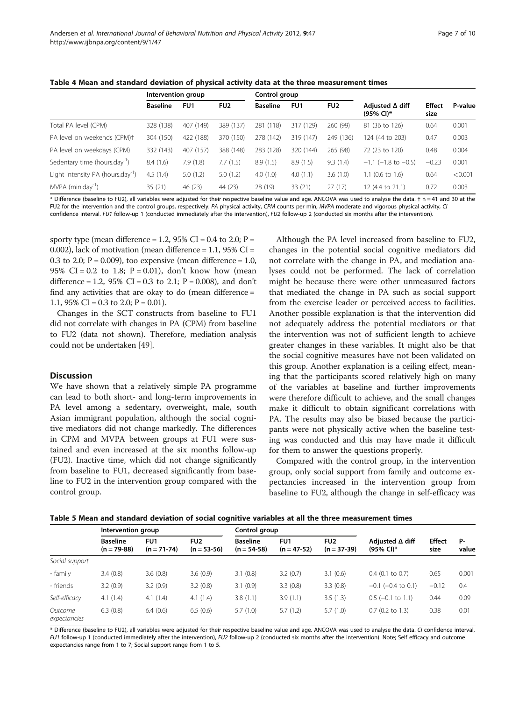<span id="page-6-0"></span>

| Table 4 Mean and standard deviation of physical activity data at the three measurement times |  |  |  |
|----------------------------------------------------------------------------------------------|--|--|--|
|----------------------------------------------------------------------------------------------|--|--|--|

|                                               | Intervention group |                 | Control group   |                 |                 |                 |                                     |                       |         |
|-----------------------------------------------|--------------------|-----------------|-----------------|-----------------|-----------------|-----------------|-------------------------------------|-----------------------|---------|
|                                               | <b>Baseline</b>    | FU <sub>1</sub> | FU <sub>2</sub> | <b>Baseline</b> | FU <sub>1</sub> | FU <sub>2</sub> | Adjusted $\Delta$ diff<br>(95% CI)* | <b>Effect</b><br>size | P-value |
| Total PA level (CPM)                          | 328 (138)          | 407 (149)       | 389 (137)       | (118)<br>281    | 317 (129)       | 260 (99)        | 81 (36 to 126)                      | 0.64                  | 0.001   |
| PA level on weekends (CPM)+                   | 304 (150)          | 422 (188)       | 370 (150)       | 278 (142)       | 319 (147)       | 249 (136)       | 124 (44 to 203)                     | 0.47                  | 0.003   |
| PA level on weekdays (CPM)                    | 332 (143)          | 407 (157)       | 388 (148)       | 283 (128)       | 320 (144)       | 265 (98)        | 72 (23 to 120)                      | 0.48                  | 0.004   |
| Sedentary time (hours.day <sup>-1</sup> )     | 8.4(1.6)           | 7.9(1.8)        | 7.7(1.5)        | 8.9(1.5)        | 8.9(1.5)        | 9.3(1.4)        | $-1.1$ (-1.8 to -0.5)               | $-0.23$               | 0.001   |
| Light intensity PA (hours.day <sup>-1</sup> ) | 4.5(1.4)           | 5.0(1.2)        | 5.0(1.2)        | 4.0(1.0)        | 4.0(1.1)        | 3.6(1.0)        | 1.1 $(0.6 \text{ to } 1.6)$         | 0.64                  | < 0.001 |
| $MVPA$ (min.day <sup>-1</sup> )               | 35 (21)            | 46 (23)         | 44 (23)         | 28 (19)         | 33 (21)         | 27(17)          | 12 (4.4 to 21.1)                    | 0.72                  | 0.003   |

\* Difference (baseline to FU2), all variables were adjusted for their respective baseline value and age. ANCOVA was used to analyse the data. † n = 41 and 30 at the FU2 for the intervention and the control groups, respectively. PA physical activity, CPM counts per min, MVPA moderate and vigorous physical activity, CI confidence interval. FU1 follow-up 1 (conducted immediately after the intervention), FU2 follow-up 2 (conducted six months after the intervention).

sporty type (mean difference = 1.2, 95% CI = 0.4 to 2.0;  $P =$ 0.002), lack of motivation (mean difference =  $1.1$ , 95% CI = 0.3 to 2.0;  $P = 0.009$ ), too expensive (mean difference = 1.0, 95% CI = 0.2 to 1.8;  $P = 0.01$ ), don't know how (mean difference = 1.2, 95% CI = 0.3 to 2.1; P = 0.008), and don't find any activities that are okay to do (mean difference = 1.1, 95% CI = 0.3 to 2.0;  $P = 0.01$ ).

Changes in the SCT constructs from baseline to FU1 did not correlate with changes in PA (CPM) from baseline to FU2 (data not shown). Therefore, mediation analysis could not be undertaken [[49](#page-9-0)].

# **Discussion**

We have shown that a relatively simple PA programme can lead to both short- and long-term improvements in PA level among a sedentary, overweight, male, south Asian immigrant population, although the social cognitive mediators did not change markedly. The differences in CPM and MVPA between groups at FU1 were sustained and even increased at the six months follow-up (FU2). Inactive time, which did not change significantly from baseline to FU1, decreased significantly from baseline to FU2 in the intervention group compared with the control group.

Although the PA level increased from baseline to FU2, changes in the potential social cognitive mediators did not correlate with the change in PA, and mediation analyses could not be performed. The lack of correlation might be because there were other unmeasured factors that mediated the change in PA such as social support from the exercise leader or perceived access to facilities. Another possible explanation is that the intervention did not adequately address the potential mediators or that the intervention was not of sufficient length to achieve greater changes in these variables. It might also be that the social cognitive measures have not been validated on this group. Another explanation is a ceiling effect, meaning that the participants scored relatively high on many of the variables at baseline and further improvements were therefore difficult to achieve, and the small changes make it difficult to obtain significant correlations with PA. The results may also be biased because the participants were not physically active when the baseline testing was conducted and this may have made it difficult for them to answer the questions properly.

Compared with the control group, in the intervention group, only social support from family and outcome expectancies increased in the intervention group from baseline to FU2, although the change in self-efficacy was

| Table 5 Mean and standard deviation of social cognitive variables at all the three measurement times |  |  |  |  |
|------------------------------------------------------------------------------------------------------|--|--|--|--|
|------------------------------------------------------------------------------------------------------|--|--|--|--|

|                         | Intervention group               |                                    |                                  | Control group                    |                                  |                                    |                                     |                       |                    |
|-------------------------|----------------------------------|------------------------------------|----------------------------------|----------------------------------|----------------------------------|------------------------------------|-------------------------------------|-----------------------|--------------------|
|                         | <b>Baseline</b><br>$(n = 79-88)$ | FU <sub>1</sub><br>$(n = 71 - 74)$ | FU <sub>2</sub><br>$(n = 53-56)$ | <b>Baseline</b><br>$(n = 54-58)$ | FU <sub>1</sub><br>$(n = 47-52)$ | FU <sub>2</sub><br>$(n = 37 - 39)$ | Adjusted $\Delta$ diff<br>(95% CI)* | <b>Effect</b><br>size | <b>P-</b><br>value |
| Social support          |                                  |                                    |                                  |                                  |                                  |                                    |                                     |                       |                    |
| - family                | 3.4(0.8)                         | 3.6(0.8)                           | 3.6(0.9)                         | 3.1(0.8)                         | 3.2(0.7)                         | 3.1(0.6)                           | $0.4$ (0.1 to 0.7)                  | 0.65                  | 0.001              |
| - friends               | 3.2(0.9)                         | 3.2(0.9)                           | 3.2(0.8)                         | 3.1(0.9)                         | 3.3(0.8)                         | 3.3(0.8)                           | $-0.1$ ( $-0.4$ to 0.1)             | $-0.12$               | 0.4                |
| Self-efficacy           | 4.1 $(1.4)$                      | 4.1(1.4)                           | 4.1(1.4)                         | 3.8(1.1)                         | 3.9(1.1)                         | 3.5(1.3)                           | $0.5$ (-0.1 to 1.1)                 | 0.44                  | 0.09               |
| Outcome<br>expectancies | 6.3(0.8)                         | 6.4(0.6)                           | 6.5(0.6)                         | 5.7(1.0)                         | 5.7(1.2)                         | 5.7(1.0)                           | $0.7$ (0.2 to 1.3)                  | 0.38                  | 0.01               |

\* Difference (baseline to FU2), all variables were adjusted for their respective baseline value and age. ANCOVA was used to analyse the data. CI confidence interval, FU1 follow-up 1 (conducted immediately after the intervention), FU2 follow-up 2 (conducted six months after the intervention). Note; Self efficacy and outcome expectancies range from 1 to 7; Social support range from 1 to 5.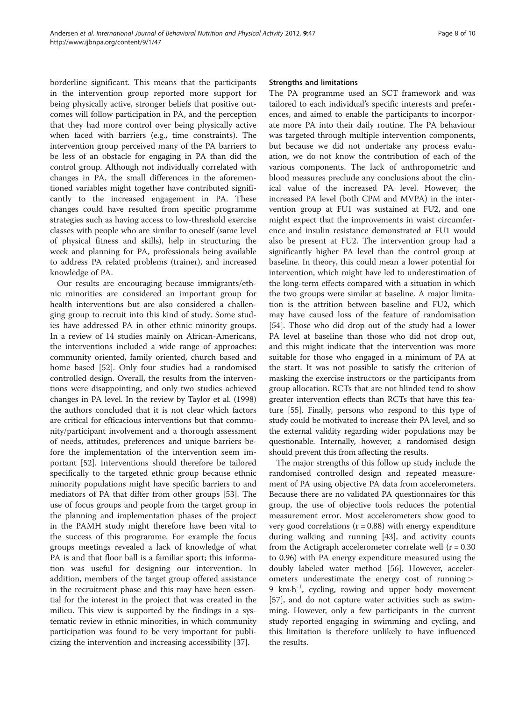borderline significant. This means that the participants in the intervention group reported more support for being physically active, stronger beliefs that positive outcomes will follow participation in PA, and the perception that they had more control over being physically active when faced with barriers (e.g., time constraints). The intervention group perceived many of the PA barriers to be less of an obstacle for engaging in PA than did the control group. Although not individually correlated with changes in PA, the small differences in the aforementioned variables might together have contributed significantly to the increased engagement in PA. These changes could have resulted from specific programme strategies such as having access to low-threshold exercise classes with people who are similar to oneself (same level of physical fitness and skills), help in structuring the week and planning for PA, professionals being available to address PA related problems (trainer), and increased knowledge of PA.

Our results are encouraging because immigrants/ethnic minorities are considered an important group for health interventions but are also considered a challenging group to recruit into this kind of study. Some studies have addressed PA in other ethnic minority groups. In a review of 14 studies mainly on African-Americans, the interventions included a wide range of approaches: community oriented, family oriented, church based and home based [\[52\]](#page-9-0). Only four studies had a randomised controlled design. Overall, the results from the interventions were disappointing, and only two studies achieved changes in PA level. In the review by Taylor et al. (1998) the authors concluded that it is not clear which factors are critical for efficacious interventions but that community/participant involvement and a thorough assessment of needs, attitudes, preferences and unique barriers before the implementation of the intervention seem important [\[52](#page-9-0)]. Interventions should therefore be tailored specifically to the targeted ethnic group because ethnic minority populations might have specific barriers to and mediators of PA that differ from other groups [[53](#page-9-0)]. The use of focus groups and people from the target group in the planning and implementation phases of the project in the PAMH study might therefore have been vital to the success of this programme. For example the focus groups meetings revealed a lack of knowledge of what PA is and that floor ball is a familiar sport; this information was useful for designing our intervention. In addition, members of the target group offered assistance in the recruitment phase and this may have been essential for the interest in the project that was created in the milieu. This view is supported by the findings in a systematic review in ethnic minorities, in which community participation was found to be very important for publicizing the intervention and increasing accessibility [[37\]](#page-9-0).

# Strengths and limitations

The PA programme used an SCT framework and was tailored to each individual's specific interests and preferences, and aimed to enable the participants to incorporate more PA into their daily routine. The PA behaviour was targeted through multiple intervention components, but because we did not undertake any process evaluation, we do not know the contribution of each of the various components. The lack of anthropometric and blood measures preclude any conclusions about the clinical value of the increased PA level. However, the increased PA level (both CPM and MVPA) in the intervention group at FU1 was sustained at FU2, and one might expect that the improvements in waist circumference and insulin resistance demonstrated at FU1 would also be present at FU2. The intervention group had a significantly higher PA level than the control group at baseline. In theory, this could mean a lower potential for intervention, which might have led to underestimation of the long-term effects compared with a situation in which the two groups were similar at baseline. A major limitation is the attrition between baseline and FU2, which may have caused loss of the feature of randomisation [[54\]](#page-9-0). Those who did drop out of the study had a lower PA level at baseline than those who did not drop out, and this might indicate that the intervention was more suitable for those who engaged in a minimum of PA at the start. It was not possible to satisfy the criterion of masking the exercise instructors or the participants from group allocation. RCTs that are not blinded tend to show greater intervention effects than RCTs that have this feature [\[55\]](#page-9-0). Finally, persons who respond to this type of study could be motivated to increase their PA level, and so the external validity regarding wider populations may be questionable. Internally, however, a randomised design should prevent this from affecting the results.

The major strengths of this follow up study include the randomised controlled design and repeated measurement of PA using objective PA data from accelerometers. Because there are no validated PA questionnaires for this group, the use of objective tools reduces the potential measurement error. Most accelerometers show good to very good correlations ( $r = 0.88$ ) with energy expenditure during walking and running [[43](#page-9-0)], and activity counts from the Actigraph accelerometer correlate well  $(r = 0.30)$ to 0.96) with PA energy expenditure measured using the doubly labeled water method [\[56\]](#page-9-0). However, accelerometers underestimate the energy cost of running > 9 km⋅h<sup>-1</sup>, cycling, rowing and upper body movement [[57\]](#page-9-0), and do not capture water activities such as swimming. However, only a few participants in the current study reported engaging in swimming and cycling, and this limitation is therefore unlikely to have influenced the results.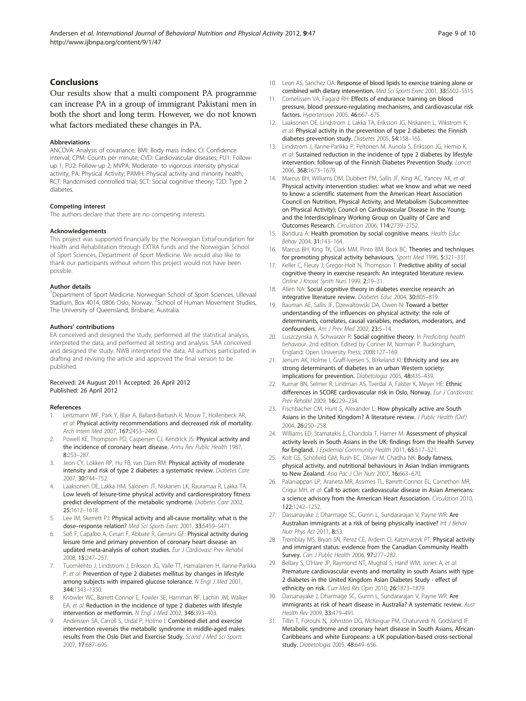# <span id="page-8-0"></span>Conclusions

Our results show that a multi component PA programme can increase PA in a group of immigrant Pakistani men in both the short and long term. However, we do not known what factors mediated these changes in PA.

#### Abbreviations

ANCOVA: Analysis of covariance; BMI: Body mass index; CI: Confidence interval; CPM: Counts per minute; CVD: Cardiovascular diseases; FU1: Followup 1; FU2: Follow-up 2; MVPA: Moderate- to vigorous intensity physical activity; PA: Physical Activity; PAMH: Physical activity and minority health; RCT: Randomised controlled trial; SCT: Social cognitive theory; T2D: Type 2 diabetes.

#### Competing interest

The authors declare that there are no competing interests.

#### Acknowledgements

This project was supported financially by the Norwegian ExtraFoundation for Health and Rehabilitation through EXTRA funds and the Norwegian School of Sport Sciences, Department of Sport Medicine. We would also like to thank our participants without whom this project would not have been possible.

#### Author details

<sup>1</sup>Department of Sport Medicine, Norwegian School of Sport Sciences, Ullevaal Stadium, Box 4014, 0806 Oslo, Norway. <sup>2</sup>School of Human Movement Studies, The University of Queensland, Brisbane, Australia.

#### Authors' contributions

EA conceived and designed the study, performed all the statistical analysis, interpreted the data, and performed all testing and analysis. SAA conceived and designed the study. NWB interpreted the data. All authors participated in drafting and revising the article and approved the final version to be published.

#### Received: 24 August 2011 Accepted: 26 April 2012 Published: 26 April 2012

#### References

- 1. Leitzmann MF, Park Y, Blair A, Ballard-Barbash R, Mouw T, Hollenbeck AR, et al: Physical activity recommendations and decreased risk of mortality. Arch Intern Med 2007, 167:2453–2460.
- 2. Powell KE, Thompson PD, Caspersen CJ, Kendrick JS: Physical activity and the incidence of coronary heart disease. Annu Rev Public Health 1987, 8:253–287.
- Jeon CY, Lokken RP, Hu FB, van Dam RM: Physical activity of moderate intensity and risk of type 2 diabetes: a systematic review. Diabetes Care 2007, 30:744–752.
- 4. Laaksonen DE, Lakka HM, Salonen JT, Niskanen LK, Rauramaa R, Lakka TA: Low levels of leisure-time physical activity and cardiorespiratory fitness predict development of the metabolic syndrome. Diabetes Care 2002, 25:1612–1618.
- 5. Lee IM, Skerrett PJ: Physical activity and all-cause mortality: what is the dose–response relation? Med Sci Sports Exerc 2001, 33:S459–S471.
- 6. Sofi F, Capalbo A, Cesari F, Abbate R, Gensini GF: Physical activity during leisure time and primary prevention of coronary heart disease: an updated meta-analysis of cohort studies. Eur J Cardiovasc Prev Rehabil 2008, 15:247–257.
- 7. Tuomilehto J, Lindstrom J, Eriksson JG, Valle TT, Hamalainen H, Ilanne-Parikka P, et al: Prevention of type 2 diabetes mellitus by changes in lifestyle among subjects with impaired glucose tolerance. N Engl J Med 2001, 344:1343–1350.
- 8. Knowler WC, Barrett-Connor E, Fowler SE, Hamman RF, Lachin JM, Walker EA, et al: Reduction in the incidence of type 2 diabetes with lifestyle intervention or metformin. N Engl J Med 2002, 346:393–403.
- Anderssen SA, Carroll S, Urdal P, Holme I: Combined diet and exercise intervention reverses the metabolic syndrome in middle-aged males: results from the Oslo Diet and Exercise Study. Scand J Med Sci Sports 2007, 17:687–695.
- 10. Leon AS, Sanchez OA: Response of blood lipids to exercise training alone or combined with dietary intervention. Med Sci Sports Exerc 2001, 33:S502–S515.
- 11. Cornelissen VA, Fagard RH: Effects of endurance training on blood pressure, blood pressure-regulating mechanisms, and cardiovascular risk factors. Hypertension 2005, 46:667–675.
- 12. Laaksonen DE, Lindstrom J, Lakka TA, Eriksson JG, Niskanen L, Wikstrom K, et al: Physical activity in the prevention of type 2 diabetes: the Finnish diabetes prevention study. Diabetes 2005, 54:158–165.
- 13. Lindstrom J, Ilanne-Parikka P, Peltonen M, Aunola S, Eriksson JG, Hemio K, et al: Sustained reduction in the incidence of type 2 diabetes by lifestyle intervention: follow-up of the Finnish Diabetes Prevention Study. Lancet 2006, 368:1673–1679.
- 14. Marcus BH, Williams DM, Dubbert PM, Sallis JF, King AC, Yancey AK, et al: Physical activity intervention studies: what we know and what we need to know: a scientific statement from the American Heart Association Council on Nutrition, Physical Activity, and Metabolism (Subcommittee on Physical Activity); Council on Cardiovascular Disease in the Young; and the Interdisciplinary Working Group on Quality of Care and Outcomes Research. Circulation 2006, 114:2739–2752.
- 15. Bandura A: Health promotion by social cognitive means. Health Educ Behav 2004, 31:143–164.
- 16. Marcus BH, King TK, Clark MM, Pinto BM, Bock BC: Theories and techniques for promoting physical activity behaviours. Sports Med 1996, 5:321–331.
- 17. Keller C, Fleury J, Gregor-Holt N, Thompson T: Predictive ability of social cognitive theory in exercise research: An integrated literature review. Online J Knowl Synth Nurs 1999, 2:19–31.
- 18. Allen NA: Social cognitive theory in diabetes exercise research: an integrative literature review. Diabetes Educ 2004, 30:805–819.
- 19. Bauman AE, Sallis JF, Dzewaltowski DA, Owen N: Toward a better understanding of the influences on physical activity: the role of determinants, correlates, causal variables, mediators, moderators, and confounders. Am J Prev Med 2002, 23:5-14.
- 20. Luszczynska A, Schwarzer R: Social cognitive theory. In Prediciting health behaviour. 2nd edition. Edited by Conner M, Norman P. Buckingham, England: Open University Press; 2008:127–169.
- 21. Jenum AK, Holme I, Graff-Iversen S, Birkeland KI: Ethnicity and sex are strong determinants of diabetes in an urban Western society: implications for prevention. Diabetologia 2005, 48:435–439.
- 22. Kumar BN, Selmer R, Lindman AS, Tverdal A, Falster K, Meyer HE: Ethnic differences in SCORE cardiovascular risk in Oslo, Norway. Eur J Cardiovasc Prev Rehabil 2009, 16:229-234.
- 23. Fischbacher CM, Hunt S, Alexander L: How physically active are South Asians in the United Kingdom? A literature review. J Public Health (Oxf) 2004, 26:250–258.
- 24. Williams ED, Stamatakis E, Chandola T, Hamer M: Assessment of physical activity levels in South Asians in the UK: findings from the Health Survey for England. J Epidemiol Community Health 2011, 65:517–521.
- 25. Kolt GS, Schofield GM, Rush EC, Oliver M, Chadha NK: Body fatness, physical activity, and nutritional behaviours in Asian Indian immigrants to New Zealand. Asia Pac J Clin Nutr 2007, 16:663-670.
- 26. Palaniappan LP, Araneta MR, Assimes TL, Barrett-Connor EL, Carnethon MR, Criqui MH, et al: Call to action: cardiovascular disease in Asian Americans: a science advisory from the American Heart Association. Circulation 2010, 122:1242–1252.
- 27. Dassanayake J, Dharmage SC, Gurrin L, Sundararajan V, Payne WR: Are Australian immigrants at a risk of being physically inactive? Int J Behav Nutr Phys Act 2011, 8:53.
- 28. Tremblay MS, Bryan SN, Perez CE, Ardern CI, Katzmarzyk PT: Physical activity and immigrant status: evidence from the Canadian Community Health Survey. Can J Public Health 2006, 97:277–282.
- 29. Bellary S, O'Hare JP, Raymond NT, Mughal S, Hanif WM, Jones A, et al: Premature cardiovascular events and mortality in south Asians with type 2 diabetes in the United Kingdom Asian Diabetes Study - effect of ethnicity on risk. Curr Med Res Opin 2010, 26:1873-1879.
- 30. Dassanayake J, Dharmage SC, Gurrin L, Sundararajan V, Payne WR: Are immigrants at risk of heart disease in Australia? A systematic review. Aust Health Rev 2009, 33:479–491.
- 31. Tillin T, Forouhi N, Johnston DG, McKeigue PM, Chaturvedi N, Godsland IF: Metabolic syndrome and coronary heart disease in South Asians, African-Caribbeans and white Europeans: a UK population-based cross-sectional study. Diabetologia 2005, 48:649-656.